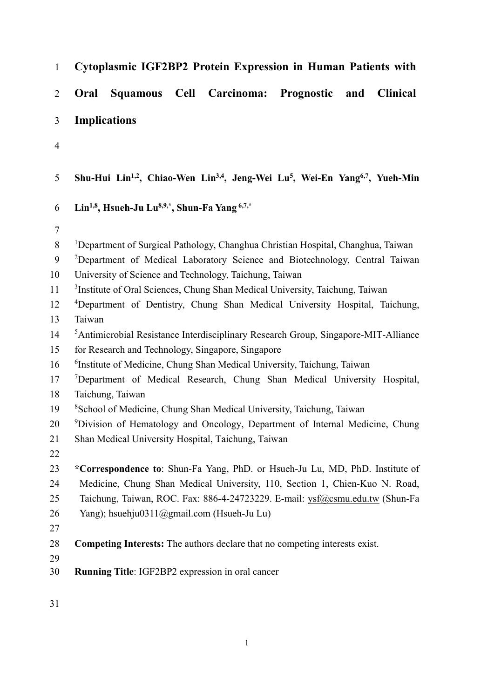| $\mathbf{1}$   | Cytoplasmic IGF2BP2 Protein Expression in Human Patients with                                                                |
|----------------|------------------------------------------------------------------------------------------------------------------------------|
| $\overline{2}$ | Cell Carcinoma: Prognostic and<br><b>Clinical</b><br><b>Oral</b><br><b>Squamous</b>                                          |
| 3              | <b>Implications</b>                                                                                                          |
| $\overline{4}$ |                                                                                                                              |
| 5              | Shu-Hui Lin <sup>1,2</sup> , Chiao-Wen Lin <sup>3,4</sup> , Jeng-Wei Lu <sup>5</sup> , Wei-En Yang <sup>6,7</sup> , Yueh-Min |
| 6              | Lin <sup>1,8</sup> , Hsueh-Ju Lu <sup>8,9,*</sup> , Shun-Fa Yang <sup>6,7,*</sup>                                            |
| $\overline{7}$ |                                                                                                                              |
| 8              | <sup>1</sup> Department of Surgical Pathology, Changhua Christian Hospital, Changhua, Taiwan                                 |
| 9              | <sup>2</sup> Department of Medical Laboratory Science and Biotechnology, Central Taiwan                                      |
| 10             | University of Science and Technology, Taichung, Taiwan                                                                       |
| 11             | <sup>3</sup> Institute of Oral Sciences, Chung Shan Medical University, Taichung, Taiwan                                     |
| 12             | <sup>4</sup> Department of Dentistry, Chung Shan Medical University Hospital, Taichung,                                      |
| 13             | Taiwan                                                                                                                       |
| 14             | <sup>5</sup> Antimicrobial Resistance Interdisciplinary Research Group, Singapore-MIT-Alliance                               |
| 15             | for Research and Technology, Singapore, Singapore                                                                            |
| 16             | <sup>6</sup> Institute of Medicine, Chung Shan Medical University, Taichung, Taiwan                                          |
| 17             | <sup>7</sup> Department of Medical Research, Chung Shan Medical University Hospital,                                         |
| 18             | Taichung, Taiwan                                                                                                             |
| 19             | <sup>8</sup> School of Medicine, Chung Shan Medical University, Taichung, Taiwan                                             |
| 20             | <sup>9</sup> Division of Hematology and Oncology, Department of Internal Medicine, Chung                                     |
| 21             | Shan Medical University Hospital, Taichung, Taiwan                                                                           |
| 22             |                                                                                                                              |
| 23             | *Correspondence to: Shun-Fa Yang, PhD. or Hsueh-Ju Lu, MD, PhD. Institute of                                                 |
| 24             | Medicine, Chung Shan Medical University, 110, Section 1, Chien-Kuo N. Road,                                                  |
| 25             | Taichung, Taiwan, ROC. Fax: 886-4-24723229. E-mail: ysf@csmu.edu.tw (Shun-Fa                                                 |
| 26             | Yang); hsuehju0311@gmail.com (Hsueh-Ju Lu)                                                                                   |
| 27             |                                                                                                                              |
| 28             | <b>Competing Interests:</b> The authors declare that no competing interests exist.                                           |
| 29<br>30       | Running Title: IGF2BP2 expression in oral cancer                                                                             |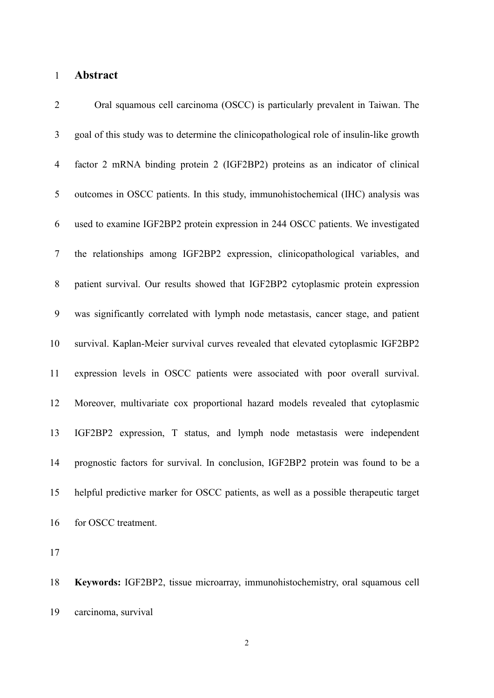# 1 Abstract

| $\overline{2}$ | Oral squamous cell carcinoma (OSCC) is particularly prevalent in Taiwan. The            |
|----------------|-----------------------------------------------------------------------------------------|
| 3              | goal of this study was to determine the clinicopathological role of insulin-like growth |
| $\overline{4}$ | factor 2 mRNA binding protein 2 (IGF2BP2) proteins as an indicator of clinical          |
| $\mathfrak{S}$ | outcomes in OSCC patients. In this study, immunohistochemical (IHC) analysis was        |
| 6              | used to examine IGF2BP2 protein expression in 244 OSCC patients. We investigated        |
| $\tau$         | the relationships among IGF2BP2 expression, clinicopathological variables, and          |
| 8              | patient survival. Our results showed that IGF2BP2 cytoplasmic protein expression        |
| 9              | was significantly correlated with lymph node metastasis, cancer stage, and patient      |
| 10             | survival. Kaplan-Meier survival curves revealed that elevated cytoplasmic IGF2BP2       |
| 11             | expression levels in OSCC patients were associated with poor overall survival.          |
| 12             | Moreover, multivariate cox proportional hazard models revealed that cytoplasmic         |
| 13             | IGF2BP2 expression, T status, and lymph node metastasis were independent                |
| 14             | prognostic factors for survival. In conclusion, IGF2BP2 protein was found to be a       |
| 15             | helpful predictive marker for OSCC patients, as well as a possible therapeutic target   |
| 16             | for OSCC treatment.                                                                     |

17

18 Keywords: IGF2BP2, tissue microarray, immunohistochemistry, oral squamous cell 19 carcinoma, survival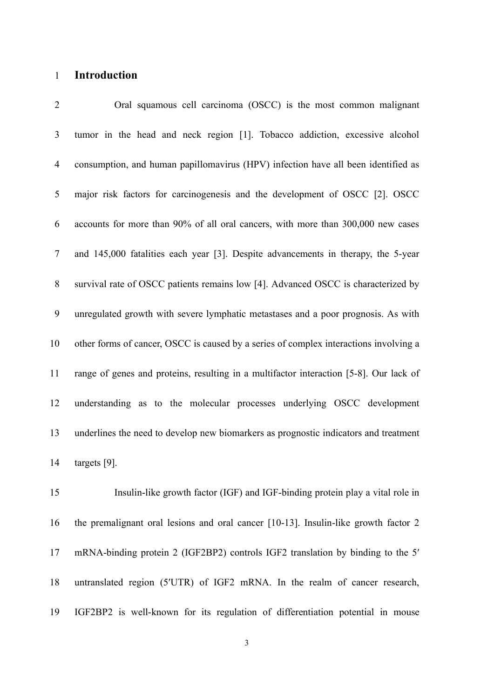### 1 Introduction

2 Oral squamous cell carcinoma (OSCC) is the most common malignant 3 tumor in the head and neck region [1]. Tobacco addiction, excessive alcohol 4 consumption, and human papillomavirus (HPV) infection have all been identified as 5 major risk factors for carcinogenesis and the development of OSCC [2]. OSCC 6 accounts for more than 90% of all oral cancers, with more than 300,000 new cases 7 and 145,000 fatalities each year [3]. Despite advancements in therapy, the 5-year 8 survival rate of OSCC patients remains low [4]. Advanced OSCC is characterized by 9 unregulated growth with severe lymphatic metastases and a poor prognosis. As with 10 other forms of cancer, OSCC is caused by a series of complex interactions involving a 11 range of genes and proteins, resulting in a multifactor interaction [5-8]. Our lack of 12 understanding as to the molecular processes underlying OSCC development 13 underlines the need to develop new biomarkers as prognostic indicators and treatment 14 targets [9].

15 Insulin-like growth factor (IGF) and IGF-binding protein play a vital role in 16 the premalignant oral lesions and oral cancer [10-13]. Insulin-like growth factor 2 17 mRNA-binding protein 2 (IGF2BP2) controls IGF2 translation by binding to the 5′ 18 untranslated region (5′UTR) of IGF2 mRNA. In the realm of cancer research, 19 IGF2BP2 is well-known for its regulation of differentiation potential in mouse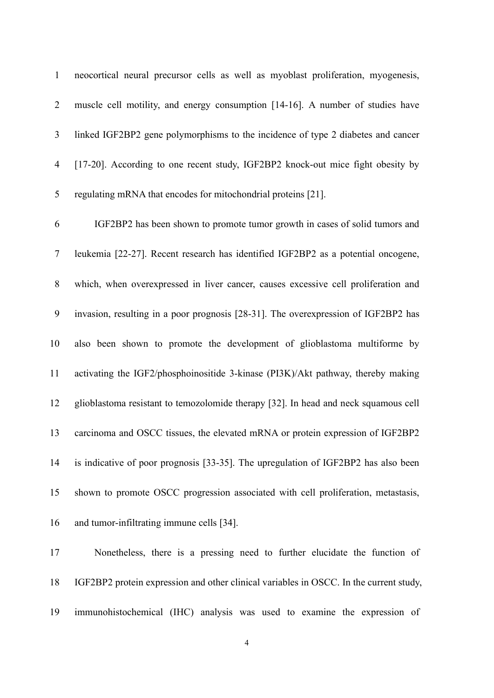1 neocortical neural precursor cells as well as myoblast proliferation, myogenesis, 2 muscle cell motility, and energy consumption [14-16]. A number of studies have 3 linked IGF2BP2 gene polymorphisms to the incidence of type 2 diabetes and cancer 4 [17-20]. According to one recent study, IGF2BP2 knock-out mice fight obesity by 5 regulating mRNA that encodes for mitochondrial proteins [21].

6 IGF2BP2 has been shown to promote tumor growth in cases of solid tumors and 7 leukemia [22-27]. Recent research has identified IGF2BP2 as a potential oncogene, 8 which, when overexpressed in liver cancer, causes excessive cell proliferation and 9 invasion, resulting in a poor prognosis [28-31]. The overexpression of IGF2BP2 has 10 also been shown to promote the development of glioblastoma multiforme by 11 activating the IGF2/phosphoinositide 3-kinase (PI3K)/Akt pathway, thereby making 12 glioblastoma resistant to temozolomide therapy [32]. In head and neck squamous cell 13 carcinoma and OSCC tissues, the elevated mRNA or protein expression of IGF2BP2 14 is indicative of poor prognosis [33-35]. The upregulation of IGF2BP2 has also been 15 shown to promote OSCC progression associated with cell proliferation, metastasis, 16 and tumor-infiltrating immune cells [34].

17 Nonetheless, there is a pressing need to further elucidate the function of 18 IGF2BP2 protein expression and other clinical variables in OSCC. In the current study, 19 immunohistochemical (IHC) analysis was used to examine the expression of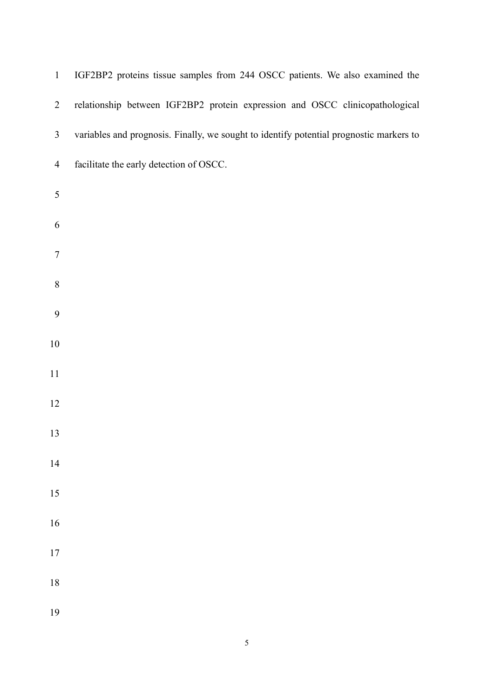| $\mathbf{1}$     | IGF2BP2 proteins tissue samples from 244 OSCC patients. We also examined the            |
|------------------|-----------------------------------------------------------------------------------------|
| $\overline{2}$   | relationship between IGF2BP2 protein expression and OSCC clinicopathological            |
| 3                | variables and prognosis. Finally, we sought to identify potential prognostic markers to |
| $\overline{4}$   | facilitate the early detection of OSCC.                                                 |
| $\mathfrak s$    |                                                                                         |
| 6                |                                                                                         |
| $\tau$           |                                                                                         |
| $8\,$            |                                                                                         |
| $\boldsymbol{9}$ |                                                                                         |
| $10\,$           |                                                                                         |
| 11               |                                                                                         |
| 12               |                                                                                         |
| 13               |                                                                                         |
| 14               |                                                                                         |
| 15               |                                                                                         |
| 16               |                                                                                         |
| $17\,$           |                                                                                         |
| $18\,$           |                                                                                         |
| 19               |                                                                                         |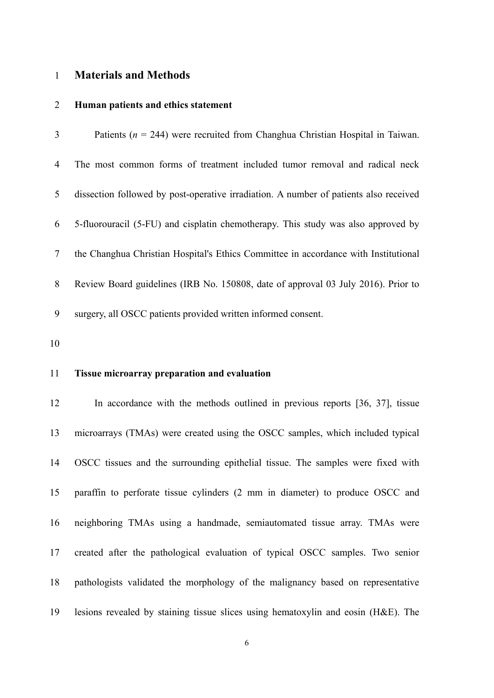### 1 Materials and Methods

#### 2 Human patients and ethics statement

| 3 | Patients ( $n = 244$ ) were recruited from Changhua Christian Hospital in Taiwan.     |
|---|---------------------------------------------------------------------------------------|
| 4 | The most common forms of treatment included tumor removal and radical neck            |
| 5 | dissection followed by post-operative irradiation. A number of patients also received |
| 6 | 5-fluorouracil (5-FU) and cisplatin chemotherapy. This study was also approved by     |
| 7 | the Changhua Christian Hospital's Ethics Committee in accordance with Institutional   |
| 8 | Review Board guidelines (IRB No. 150808, date of approval 03 July 2016). Prior to     |
| 9 | surgery, all OSCC patients provided written informed consent.                         |

10

### 11 Tissue microarray preparation and evaluation

12 In accordance with the methods outlined in previous reports [36, 37], tissue 13 microarrays (TMAs) were created using the OSCC samples, which included typical 14 OSCC tissues and the surrounding epithelial tissue. The samples were fixed with 15 paraffin to perforate tissue cylinders (2 mm in diameter) to produce OSCC and 16 neighboring TMAs using a handmade, semiautomated tissue array. TMAs were 17 created after the pathological evaluation of typical OSCC samples. Two senior 18 pathologists validated the morphology of the malignancy based on representative 19 lesions revealed by staining tissue slices using hematoxylin and eosin (H&E). The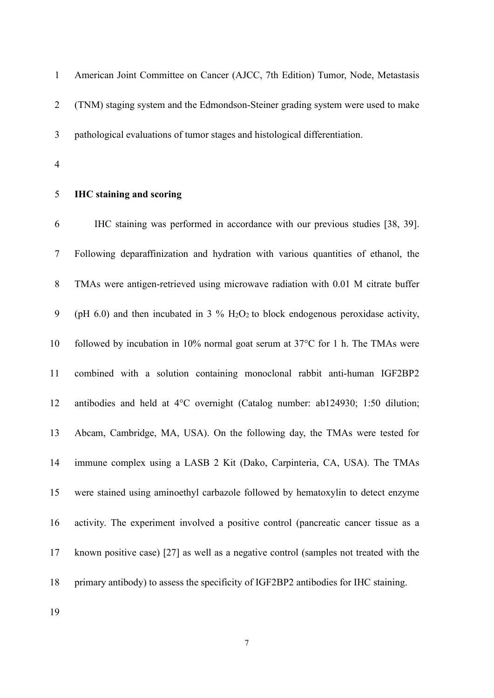1 American Joint Committee on Cancer (AJCC, 7th Edition) Tumor, Node, Metastasis 2 (TNM) staging system and the Edmondson-Steiner grading system were used to make 3 pathological evaluations of tumor stages and histological differentiation.

4

#### 5 IHC staining and scoring

6 IHC staining was performed in accordance with our previous studies [38, 39]. 7 Following deparaffinization and hydration with various quantities of ethanol, the 8 TMAs were antigen-retrieved using microwave radiation with 0.01 M citrate buffer 9 (pH 6.0) and then incubated in 3  $\%$  H<sub>2</sub>O<sub>2</sub> to block endogenous peroxidase activity, 10 followed by incubation in 10% normal goat serum at 37°C for 1 h. The TMAs were 11 combined with a solution containing monoclonal rabbit anti-human IGF2BP2 12 antibodies and held at 4°C overnight (Catalog number: ab124930; 1:50 dilution; 13 Abcam, Cambridge, MA, USA). On the following day, the TMAs were tested for 14 immune complex using a LASB 2 Kit (Dako, Carpinteria, CA, USA). The TMAs 15 were stained using aminoethyl carbazole followed by hematoxylin to detect enzyme 16 activity. The experiment involved a positive control (pancreatic cancer tissue as a 17 known positive case) [27] as well as a negative control (samples not treated with the 18 primary antibody) to assess the specificity of IGF2BP2 antibodies for IHC staining.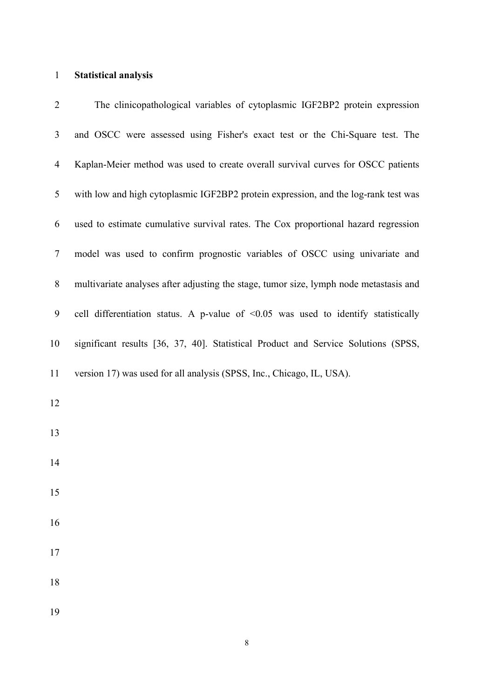# 1 Statistical analysis

| $\overline{2}$ | The clinicopathological variables of cytoplasmic IGF2BP2 protein expression              |
|----------------|------------------------------------------------------------------------------------------|
| $\mathfrak{Z}$ | and OSCC were assessed using Fisher's exact test or the Chi-Square test. The             |
| $\overline{4}$ | Kaplan-Meier method was used to create overall survival curves for OSCC patients         |
| 5              | with low and high cytoplasmic IGF2BP2 protein expression, and the log-rank test was      |
| 6              | used to estimate cumulative survival rates. The Cox proportional hazard regression       |
| $\tau$         | model was used to confirm prognostic variables of OSCC using univariate and              |
| 8              | multivariate analyses after adjusting the stage, tumor size, lymph node metastasis and   |
| 9              | cell differentiation status. A p-value of $\leq 0.05$ was used to identify statistically |
| 10             | significant results [36, 37, 40]. Statistical Product and Service Solutions (SPSS,       |
| 11             | version 17) was used for all analysis (SPSS, Inc., Chicago, IL, USA).                    |
| 12             |                                                                                          |
| 13             |                                                                                          |
| 14             |                                                                                          |
| 15             |                                                                                          |
| 16             |                                                                                          |
| 17             |                                                                                          |
| 18             |                                                                                          |
| 19             |                                                                                          |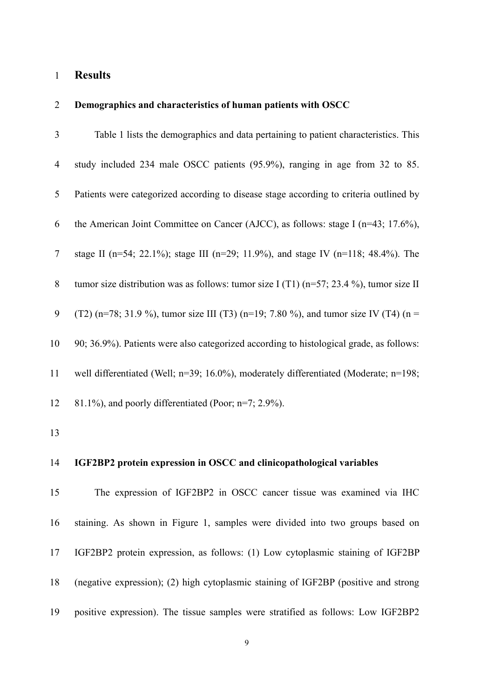## 1 Results

### 2 Demographics and characteristics of human patients with OSCC

| 3              | Table 1 lists the demographics and data pertaining to patient characteristics. This         |
|----------------|---------------------------------------------------------------------------------------------|
| $\overline{4}$ | study included 234 male OSCC patients (95.9%), ranging in age from 32 to 85.                |
| 5              | Patients were categorized according to disease stage according to criteria outlined by      |
| 6              | the American Joint Committee on Cancer (AJCC), as follows: stage I ( $n=43$ ; 17.6%),       |
| $\overline{7}$ | stage II (n=54; 22.1%); stage III (n=29; 11.9%), and stage IV (n=118; 48.4%). The           |
| 8              | tumor size distribution was as follows: tumor size I (T1) ( $n=57$ ; 23.4 %), tumor size II |
| 9              | (T2) (n=78; 31.9 %), tumor size III (T3) (n=19; 7.80 %), and tumor size IV (T4) (n =        |
| 10             | 90; 36.9%). Patients were also categorized according to histological grade, as follows:     |
| 11             | well differentiated (Well; n=39; 16.0%), moderately differentiated (Moderate; n=198;        |
| 12             | $81.1\%$ ), and poorly differentiated (Poor; n=7; 2.9%).                                    |
| 13             |                                                                                             |
| 14             | IGF2BP2 protein expression in OSCC and clinicopathological variables                        |
| 15             | The expression of IGF2BP2 in OSCC cancer tissue was examined via IHC                        |

16 staining. As shown in Figure 1, samples were divided into two groups based on 17 IGF2BP2 protein expression, as follows: (1) Low cytoplasmic staining of IGF2BP 18 (negative expression); (2) high cytoplasmic staining of IGF2BP (positive and strong 19 positive expression). The tissue samples were stratified as follows: Low IGF2BP2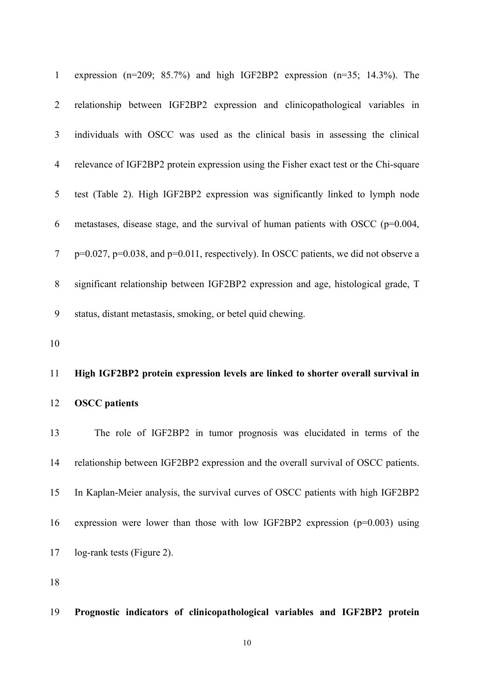| $\mathbf{1}$   | expression ( $n=209$ ; 85.7%) and high IGF2BP2 expression ( $n=35$ ; 14.3%). The              |
|----------------|-----------------------------------------------------------------------------------------------|
| 2              | relationship between IGF2BP2 expression and clinicopathological variables in                  |
| 3              | individuals with OSCC was used as the clinical basis in assessing the clinical                |
| $\overline{4}$ | relevance of IGF2BP2 protein expression using the Fisher exact test or the Chi-square         |
| 5              | test (Table 2). High IGF2BP2 expression was significantly linked to lymph node                |
| 6              | metastases, disease stage, and the survival of human patients with OSCC $(p=0.004,$           |
| 7              | $p=0.027$ , $p=0.038$ , and $p=0.011$ , respectively). In OSCC patients, we did not observe a |
| 8              | significant relationship between IGF2BP2 expression and age, histological grade, T            |
|                |                                                                                               |
| 9              | status, distant metastasis, smoking, or betel quid chewing.                                   |
| 10             |                                                                                               |
| 11             | High IGF2BP2 protein expression levels are linked to shorter overall survival in              |
| 12             | <b>OSCC</b> patients                                                                          |
| 13             | The role of IGF2BP2 in tumor prognosis was elucidated in terms of the                         |
| 14             | relationship between IGF2BP2 expression and the overall survival of OSCC patients.            |
| 15             | In Kaplan-Meier analysis, the survival curves of OSCC patients with high IGF2BP2              |

18

17 log-rank tests (Figure 2).

## 19 Prognostic indicators of clinicopathological variables and IGF2BP2 protein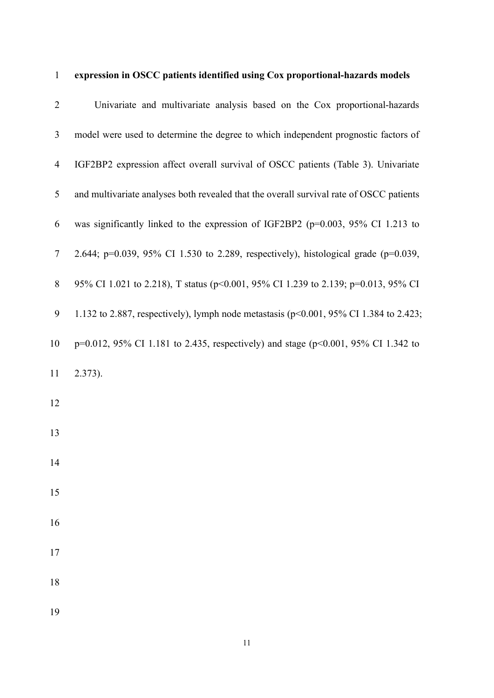| $\mathbf{1}$   | expression in OSCC patients identified using Cox proportional-hazards models              |
|----------------|-------------------------------------------------------------------------------------------|
| $\overline{2}$ | Univariate and multivariate analysis based on the Cox proportional-hazards                |
| 3              | model were used to determine the degree to which independent prognostic factors of        |
| $\overline{4}$ | IGF2BP2 expression affect overall survival of OSCC patients (Table 3). Univariate         |
| 5              | and multivariate analyses both revealed that the overall survival rate of OSCC patients   |
| 6              | was significantly linked to the expression of IGF2BP2 (p=0.003, 95% CI 1.213 to           |
| $\tau$         | 2.644; p=0.039, 95% CI 1.530 to 2.289, respectively), histological grade (p=0.039,        |
| $8\,$          | 95% CI 1.021 to 2.218), T status (p<0.001, 95% CI 1.239 to 2.139; p=0.013, 95% CI         |
| 9              | 1.132 to 2.887, respectively), lymph node metastasis ( $p<0.001$ , 95% CI 1.384 to 2.423; |
| 10             | p=0.012, 95% CI 1.181 to 2.435, respectively) and stage (p<0.001, 95% CI 1.342 to         |
| 11             | $2.373$ ).                                                                                |
| 12             |                                                                                           |
| 13             |                                                                                           |
| 14             |                                                                                           |
| 15             |                                                                                           |
| 16             |                                                                                           |
| 17             |                                                                                           |
| 18             |                                                                                           |
| 19             |                                                                                           |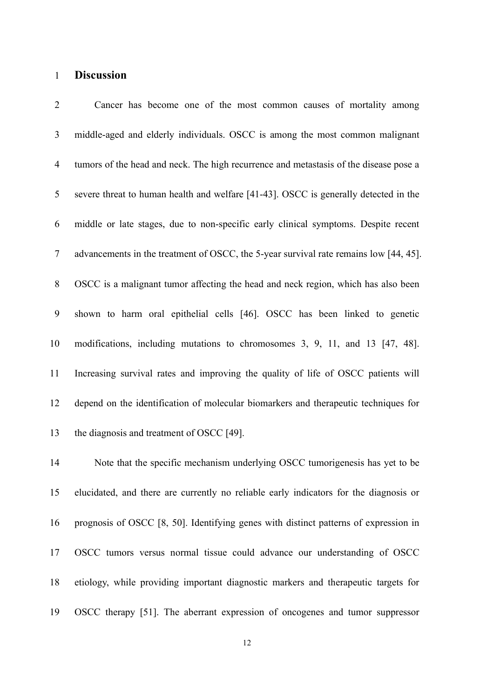### 1 Discussion

2 Cancer has become one of the most common causes of mortality among 3 middle-aged and elderly individuals. OSCC is among the most common malignant 4 tumors of the head and neck. The high recurrence and metastasis of the disease pose a 5 severe threat to human health and welfare [41-43]. OSCC is generally detected in the 6 middle or late stages, due to non-specific early clinical symptoms. Despite recent 7 advancements in the treatment of OSCC, the 5-year survival rate remains low [44, 45]. 8 OSCC is a malignant tumor affecting the head and neck region, which has also been 9 shown to harm oral epithelial cells [46]. OSCC has been linked to genetic 10 modifications, including mutations to chromosomes 3, 9, 11, and 13 [47, 48]. 11 Increasing survival rates and improving the quality of life of OSCC patients will 12 depend on the identification of molecular biomarkers and therapeutic techniques for 13 the diagnosis and treatment of OSCC [49].

14 Note that the specific mechanism underlying OSCC tumorigenesis has yet to be 15 elucidated, and there are currently no reliable early indicators for the diagnosis or 16 prognosis of OSCC [8, 50]. Identifying genes with distinct patterns of expression in 17 OSCC tumors versus normal tissue could advance our understanding of OSCC 18 etiology, while providing important diagnostic markers and therapeutic targets for 19 OSCC therapy [51]. The aberrant expression of oncogenes and tumor suppressor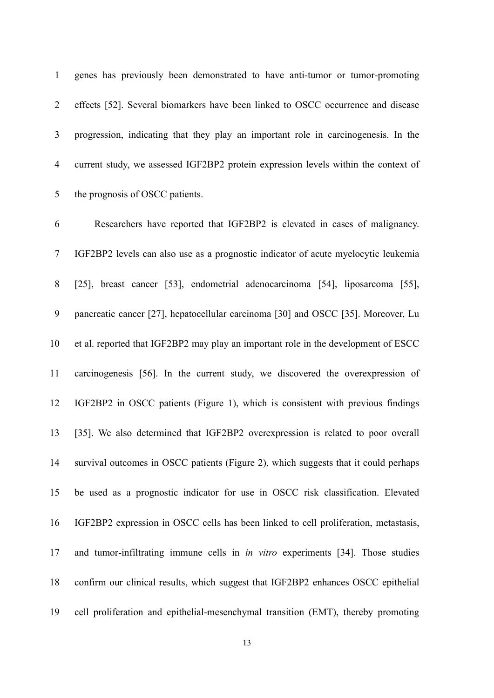1 genes has previously been demonstrated to have anti-tumor or tumor-promoting 2 effects [52]. Several biomarkers have been linked to OSCC occurrence and disease 3 progression, indicating that they play an important role in carcinogenesis. In the 4 current study, we assessed IGF2BP2 protein expression levels within the context of 5 the prognosis of OSCC patients.

6 Researchers have reported that IGF2BP2 is elevated in cases of malignancy. 7 IGF2BP2 levels can also use as a prognostic indicator of acute myelocytic leukemia 8 [25], breast cancer [53], endometrial adenocarcinoma [54], liposarcoma [55], 9 pancreatic cancer [27], hepatocellular carcinoma [30] and OSCC [35]. Moreover, Lu 10 et al. reported that IGF2BP2 may play an important role in the development of ESCC 11 carcinogenesis [56]. In the current study, we discovered the overexpression of 12 IGF2BP2 in OSCC patients (Figure 1), which is consistent with previous findings 13 [35]. We also determined that IGF2BP2 overexpression is related to poor overall 14 survival outcomes in OSCC patients (Figure 2), which suggests that it could perhaps 15 be used as a prognostic indicator for use in OSCC risk classification. Elevated 16 IGF2BP2 expression in OSCC cells has been linked to cell proliferation, metastasis, 17 and tumor-infiltrating immune cells in in vitro experiments [34]. Those studies 18 confirm our clinical results, which suggest that IGF2BP2 enhances OSCC epithelial 19 cell proliferation and epithelial-mesenchymal transition (EMT), thereby promoting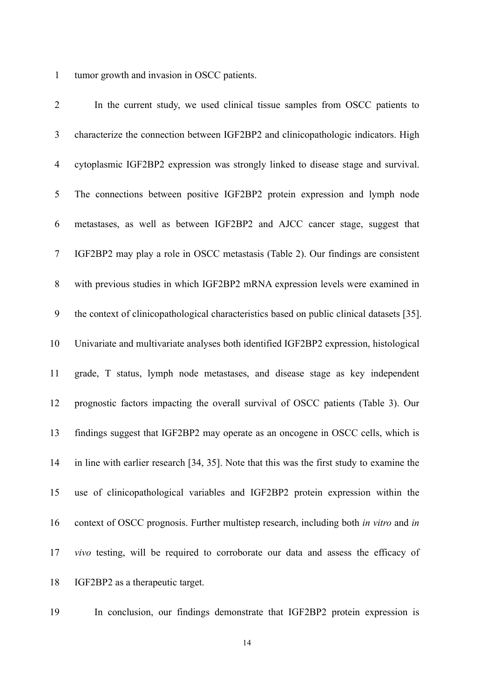1 tumor growth and invasion in OSCC patients.

2 In the current study, we used clinical tissue samples from OSCC patients to 3 characterize the connection between IGF2BP2 and clinicopathologic indicators. High 4 cytoplasmic IGF2BP2 expression was strongly linked to disease stage and survival. 5 The connections between positive IGF2BP2 protein expression and lymph node 6 metastases, as well as between IGF2BP2 and AJCC cancer stage, suggest that 7 IGF2BP2 may play a role in OSCC metastasis (Table 2). Our findings are consistent 8 with previous studies in which IGF2BP2 mRNA expression levels were examined in 9 the context of clinicopathological characteristics based on public clinical datasets [35]. 10 Univariate and multivariate analyses both identified IGF2BP2 expression, histological 11 grade, T status, lymph node metastases, and disease stage as key independent 12 prognostic factors impacting the overall survival of OSCC patients (Table 3). Our 13 findings suggest that IGF2BP2 may operate as an oncogene in OSCC cells, which is 14 in line with earlier research [34, 35]. Note that this was the first study to examine the 15 use of clinicopathological variables and IGF2BP2 protein expression within the 16 context of OSCC prognosis. Further multistep research, including both in vitro and in 17 vivo testing, will be required to corroborate our data and assess the efficacy of 18 IGF2BP2 as a therapeutic target.

19 In conclusion, our findings demonstrate that IGF2BP2 protein expression is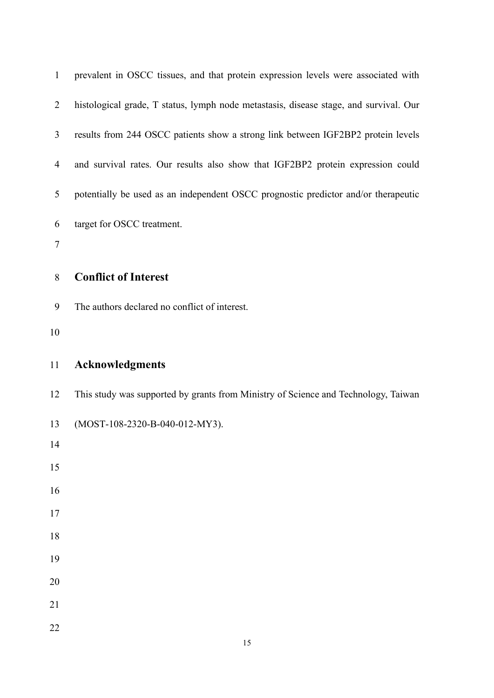| $\mathbf{1}$   | prevalent in OSCC tissues, and that protein expression levels were associated with    |
|----------------|---------------------------------------------------------------------------------------|
| $\overline{2}$ | histological grade, T status, lymph node metastasis, disease stage, and survival. Our |
| 3              | results from 244 OSCC patients show a strong link between IGF2BP2 protein levels      |
| $\overline{4}$ | and survival rates. Our results also show that IGF2BP2 protein expression could       |
| 5              | potentially be used as an independent OSCC prognostic predictor and/or therapeutic    |
| 6              | target for OSCC treatment.                                                            |
| $\tau$         |                                                                                       |
| $8\,$          | <b>Conflict of Interest</b>                                                           |
| 9              | The authors declared no conflict of interest.                                         |
| 10             |                                                                                       |
|                |                                                                                       |
| 11             | <b>Acknowledgments</b>                                                                |
| 12             | This study was supported by grants from Ministry of Science and Technology, Taiwan    |
| 13             | (MOST-108-2320-B-040-012-MY3).                                                        |
| 14             |                                                                                       |
| 15             |                                                                                       |
| 16             |                                                                                       |
| $17$           |                                                                                       |
| 18             |                                                                                       |
| 19             |                                                                                       |
| 20             |                                                                                       |
| 21             |                                                                                       |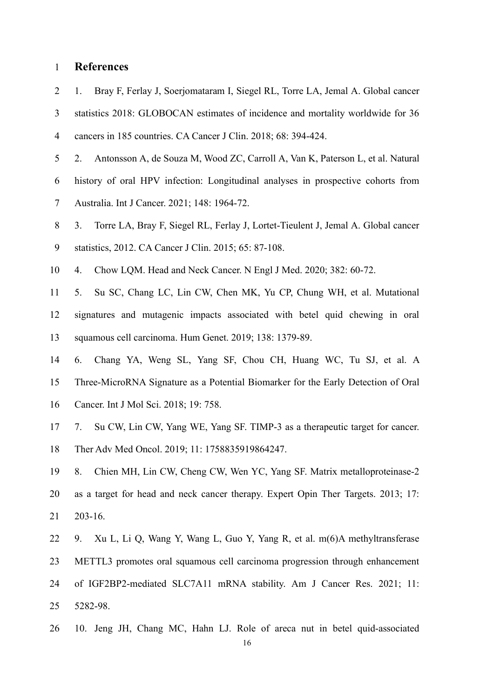### 1 References

2 1. Bray F, Ferlay J, Soerjomataram I, Siegel RL, Torre LA, Jemal A. Global cancer 3 statistics 2018: GLOBOCAN estimates of incidence and mortality worldwide for 36 4 cancers in 185 countries. CA Cancer J Clin. 2018; 68: 394-424.

5 2. Antonsson A, de Souza M, Wood ZC, Carroll A, Van K, Paterson L, et al. Natural

6 history of oral HPV infection: Longitudinal analyses in prospective cohorts from 7 Australia. Int J Cancer. 2021; 148: 1964-72.

- 8 3. Torre LA, Bray F, Siegel RL, Ferlay J, Lortet-Tieulent J, Jemal A. Global cancer 9 statistics, 2012. CA Cancer J Clin. 2015; 65: 87-108.
- 10 4. Chow LQM. Head and Neck Cancer. N Engl J Med. 2020; 382: 60-72.

11 5. Su SC, Chang LC, Lin CW, Chen MK, Yu CP, Chung WH, et al. Mutational 12 signatures and mutagenic impacts associated with betel quid chewing in oral 13 squamous cell carcinoma. Hum Genet. 2019; 138: 1379-89.

- 14 6. Chang YA, Weng SL, Yang SF, Chou CH, Huang WC, Tu SJ, et al. A 15 Three-MicroRNA Signature as a Potential Biomarker for the Early Detection of Oral 16 Cancer. Int J Mol Sci. 2018; 19: 758.
- 17 7. Su CW, Lin CW, Yang WE, Yang SF. TIMP-3 as a therapeutic target for cancer. 18 Ther Adv Med Oncol. 2019; 11: 1758835919864247.
- 19 8. Chien MH, Lin CW, Cheng CW, Wen YC, Yang SF. Matrix metalloproteinase-2 20 as a target for head and neck cancer therapy. Expert Opin Ther Targets. 2013; 17: 21 203-16.
- 22 9. Xu L, Li Q, Wang Y, Wang L, Guo Y, Yang R, et al. m(6)A methyltransferase 23 METTL3 promotes oral squamous cell carcinoma progression through enhancement 24 of IGF2BP2-mediated SLC7A11 mRNA stability. Am J Cancer Res. 2021; 11: 25 5282-98.
- 26 10. Jeng JH, Chang MC, Hahn LJ. Role of areca nut in betel quid-associated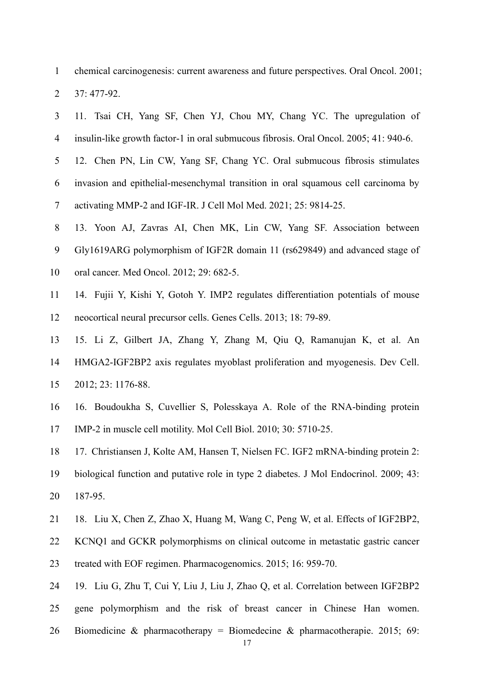1 chemical carcinogenesis: current awareness and future perspectives. Oral Oncol. 2001; 2 37: 477-92.

3 11. Tsai CH, Yang SF, Chen YJ, Chou MY, Chang YC. The upregulation of

- 4 insulin-like growth factor-1 in oral submucous fibrosis. Oral Oncol. 2005; 41: 940-6. 5 12. Chen PN, Lin CW, Yang SF, Chang YC. Oral submucous fibrosis stimulates 6 invasion and epithelial-mesenchymal transition in oral squamous cell carcinoma by 7 activating MMP-2 and IGF-IR. J Cell Mol Med. 2021; 25: 9814-25. 8 13. Yoon AJ, Zavras AI, Chen MK, Lin CW, Yang SF. Association between 9 Gly1619ARG polymorphism of IGF2R domain 11 (rs629849) and advanced stage of 10 oral cancer. Med Oncol. 2012; 29: 682-5. 11 14. Fujii Y, Kishi Y, Gotoh Y. IMP2 regulates differentiation potentials of mouse 12 neocortical neural precursor cells. Genes Cells. 2013; 18: 79-89. 13 15. Li Z, Gilbert JA, Zhang Y, Zhang M, Qiu Q, Ramanujan K, et al. An 14 HMGA2-IGF2BP2 axis regulates myoblast proliferation and myogenesis. Dev Cell.
- 15 2012; 23: 1176-88.
- 16 16. Boudoukha S, Cuvellier S, Polesskaya A. Role of the RNA-binding protein 17 IMP-2 in muscle cell motility. Mol Cell Biol. 2010; 30: 5710-25.
- 18 17. Christiansen J, Kolte AM, Hansen T, Nielsen FC. IGF2 mRNA-binding protein 2: 19 biological function and putative role in type 2 diabetes. J Mol Endocrinol. 2009; 43: 20 187-95.
- 21 18. Liu X, Chen Z, Zhao X, Huang M, Wang C, Peng W, et al. Effects of IGF2BP2,
- 22 KCNQ1 and GCKR polymorphisms on clinical outcome in metastatic gastric cancer 23 treated with EOF regimen. Pharmacogenomics. 2015; 16: 959-70.
- 24 19. Liu G, Zhu T, Cui Y, Liu J, Liu J, Zhao Q, et al. Correlation between IGF2BP2 25 gene polymorphism and the risk of breast cancer in Chinese Han women.
- 26 Biomedicine & pharmacotherapy = Biomedecine & pharmacotherapie. 2015; 69: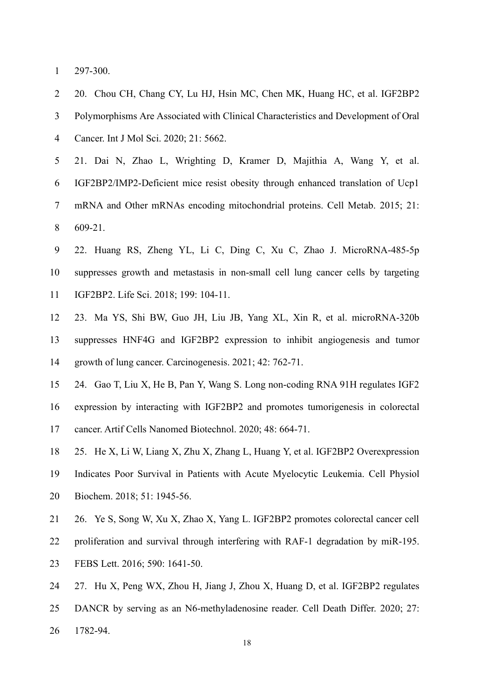1 297-300.

2 20. Chou CH, Chang CY, Lu HJ, Hsin MC, Chen MK, Huang HC, et al. IGF2BP2 3 Polymorphisms Are Associated with Clinical Characteristics and Development of Oral 4 Cancer. Int J Mol Sci. 2020; 21: 5662.

5 21. Dai N, Zhao L, Wrighting D, Kramer D, Majithia A, Wang Y, et al. 6 IGF2BP2/IMP2-Deficient mice resist obesity through enhanced translation of Ucp1 7 mRNA and Other mRNAs encoding mitochondrial proteins. Cell Metab. 2015; 21: 8 609-21.

- 9 22. Huang RS, Zheng YL, Li C, Ding C, Xu C, Zhao J. MicroRNA-485-5p 10 suppresses growth and metastasis in non-small cell lung cancer cells by targeting 11 IGF2BP2. Life Sci. 2018; 199: 104-11.
- 12 23. Ma YS, Shi BW, Guo JH, Liu JB, Yang XL, Xin R, et al. microRNA-320b 13 suppresses HNF4G and IGF2BP2 expression to inhibit angiogenesis and tumor 14 growth of lung cancer. Carcinogenesis. 2021; 42: 762-71.
- 15 24. Gao T, Liu X, He B, Pan Y, Wang S. Long non-coding RNA 91H regulates IGF2
- 16 expression by interacting with IGF2BP2 and promotes tumorigenesis in colorectal 17 cancer. Artif Cells Nanomed Biotechnol. 2020; 48: 664-71.
- 18 25. He X, Li W, Liang X, Zhu X, Zhang L, Huang Y, et al. IGF2BP2 Overexpression 19 Indicates Poor Survival in Patients with Acute Myelocytic Leukemia. Cell Physiol
- 20 Biochem. 2018; 51: 1945-56.
- 21 26. Ye S, Song W, Xu X, Zhao X, Yang L. IGF2BP2 promotes colorectal cancer cell
- 22 proliferation and survival through interfering with RAF-1 degradation by miR-195. 23 FEBS Lett. 2016; 590: 1641-50.
- 24 27. Hu X, Peng WX, Zhou H, Jiang J, Zhou X, Huang D, et al. IGF2BP2 regulates
- 25 DANCR by serving as an N6-methyladenosine reader. Cell Death Differ. 2020; 27:
- 26 1782-94.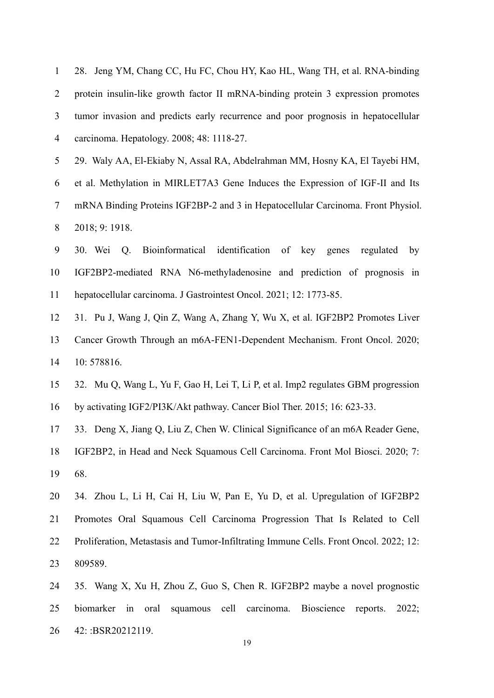| 1 28. Jeng YM, Chang CC, Hu FC, Chou HY, Kao HL, Wang TH, et al. RNA-binding        |
|-------------------------------------------------------------------------------------|
| 2 protein insulin-like growth factor II mRNA-binding protein 3 expression promotes  |
| 3 tumor invasion and predicts early recurrence and poor prognosis in hepatocellular |
| 4 carcinoma. Hepatology. 2008; 48: 1118-27.                                         |

5 29. Waly AA, El-Ekiaby N, Assal RA, Abdelrahman MM, Hosny KA, El Tayebi HM, 6 et al. Methylation in MIRLET7A3 Gene Induces the Expression of IGF-II and Its 7 mRNA Binding Proteins IGF2BP-2 and 3 in Hepatocellular Carcinoma. Front Physiol. 8 2018; 9: 1918.

9 30. Wei Q. Bioinformatical identification of key genes regulated by 10 IGF2BP2-mediated RNA N6-methyladenosine and prediction of prognosis in 11 hepatocellular carcinoma. J Gastrointest Oncol. 2021; 12: 1773-85.

12 31. Pu J, Wang J, Qin Z, Wang A, Zhang Y, Wu X, et al. IGF2BP2 Promotes Liver 13 Cancer Growth Through an m6A-FEN1-Dependent Mechanism. Front Oncol. 2020; 14 10: 578816.

15 32. Mu Q, Wang L, Yu F, Gao H, Lei T, Li P, et al. Imp2 regulates GBM progression 16 by activating IGF2/PI3K/Akt pathway. Cancer Biol Ther. 2015; 16: 623-33.

17 33. Deng X, Jiang Q, Liu Z, Chen W. Clinical Significance of an m6A Reader Gene,

18 IGF2BP2, in Head and Neck Squamous Cell Carcinoma. Front Mol Biosci. 2020; 7: 19 68.

20 34. Zhou L, Li H, Cai H, Liu W, Pan E, Yu D, et al. Upregulation of IGF2BP2 21 Promotes Oral Squamous Cell Carcinoma Progression That Is Related to Cell 22 Proliferation, Metastasis and Tumor-Infiltrating Immune Cells. Front Oncol. 2022; 12: 23 809589.

24 35. Wang X, Xu H, Zhou Z, Guo S, Chen R. IGF2BP2 maybe a novel prognostic 25 biomarker in oral squamous cell carcinoma. Bioscience reports. 2022; 26 42: :BSR20212119.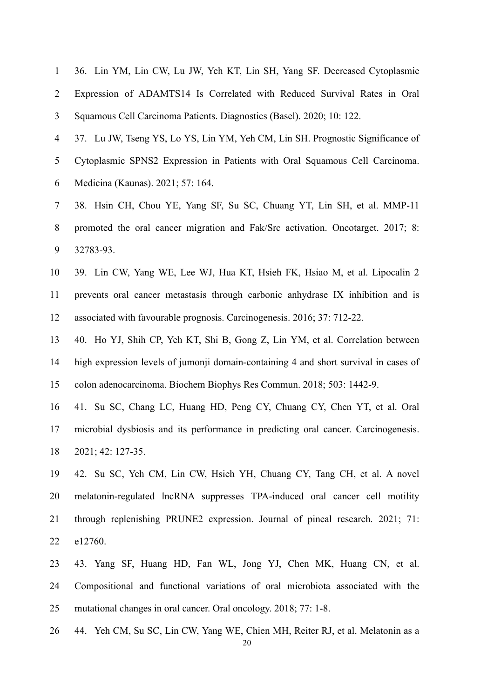| $\mathbf{1}$   | 36. Lin YM, Lin CW, Lu JW, Yeh KT, Lin SH, Yang SF. Decreased Cytoplasmic            |
|----------------|--------------------------------------------------------------------------------------|
| $\overline{2}$ | Expression of ADAMTS14 Is Correlated with Reduced Survival Rates in Oral             |
| 3              | Squamous Cell Carcinoma Patients. Diagnostics (Basel). 2020; 10: 122.                |
| $\overline{4}$ | 37. Lu JW, Tseng YS, Lo YS, Lin YM, Yeh CM, Lin SH. Prognostic Significance of       |
| 5              | Cytoplasmic SPNS2 Expression in Patients with Oral Squamous Cell Carcinoma.          |
| 6              | Medicina (Kaunas). 2021; 57: 164.                                                    |
| $\tau$         | 38. Hsin CH, Chou YE, Yang SF, Su SC, Chuang YT, Lin SH, et al. MMP-11               |
| 8              | promoted the oral cancer migration and Fak/Src activation. Oncotarget. 2017; 8:      |
| 9              | 32783-93.                                                                            |
| 10             | 39. Lin CW, Yang WE, Lee WJ, Hua KT, Hsieh FK, Hsiao M, et al. Lipocalin 2           |
| 11             | prevents oral cancer metastasis through carbonic anhydrase IX inhibition and is      |
| 12             | associated with favourable prognosis. Carcinogenesis. 2016; 37: 712-22.              |
| 13             | 40. Ho YJ, Shih CP, Yeh KT, Shi B, Gong Z, Lin YM, et al. Correlation between        |
| 14             | high expression levels of jumonji domain-containing 4 and short survival in cases of |
| 15             | colon adenocarcinoma. Biochem Biophys Res Commun. 2018; 503: 1442-9.                 |
| 16             | 41. Su SC, Chang LC, Huang HD, Peng CY, Chuang CY, Chen YT, et al. Oral              |
| 17             | microbial dysbiosis and its performance in predicting oral cancer. Carcinogenesis.   |
| 18             | 2021; 42: 127-35.                                                                    |
| 19             | 42. Su SC, Yeh CM, Lin CW, Hsieh YH, Chuang CY, Tang CH, et al. A novel              |
| 20             | melatonin-regulated lncRNA suppresses TPA-induced oral cancer cell motility          |
| 21             | through replenishing PRUNE2 expression. Journal of pineal research. 2021; 71:        |
| 22             | e12760.                                                                              |
| 23             | 43. Yang SF, Huang HD, Fan WL, Jong YJ, Chen MK, Huang CN, et al.                    |
| 24             | Compositional and functional variations of oral microbiota associated with the       |
| 25             | mutational changes in oral cancer. Oral oncology. 2018; 77: 1-8.                     |

26 44. Yeh CM, Su SC, Lin CW, Yang WE, Chien MH, Reiter RJ, et al. Melatonin as a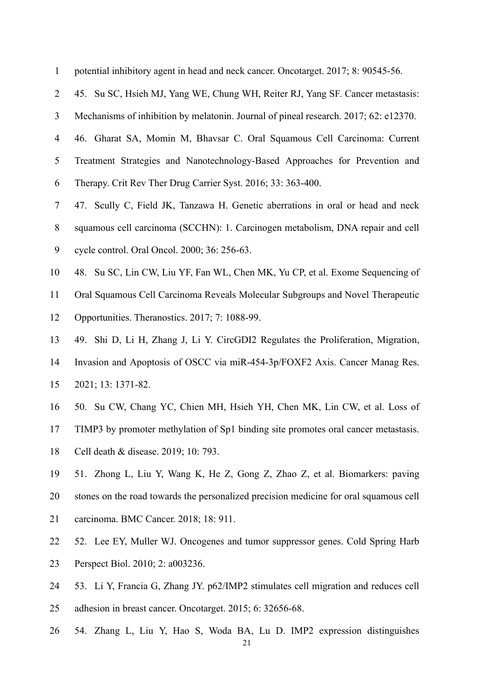| $\mathbf{1}$   | potential inhibitory agent in head and neck cancer. Oncotarget. 2017; 8: 90545-56.    |
|----------------|---------------------------------------------------------------------------------------|
| $\overline{2}$ | 45. Su SC, Hsieh MJ, Yang WE, Chung WH, Reiter RJ, Yang SF. Cancer metastasis:        |
| 3              | Mechanisms of inhibition by melatonin. Journal of pineal research. 2017; 62: e12370.  |
| $\overline{4}$ | 46. Gharat SA, Momin M, Bhavsar C. Oral Squamous Cell Carcinoma: Current              |
| 5              | Treatment Strategies and Nanotechnology-Based Approaches for Prevention and           |
| 6              | Therapy. Crit Rev Ther Drug Carrier Syst. 2016; 33: 363-400.                          |
| $\tau$         | 47. Scully C, Field JK, Tanzawa H. Genetic aberrations in oral or head and neck       |
| $8\,$          | squamous cell carcinoma (SCCHN): 1. Carcinogen metabolism, DNA repair and cell        |
| 9              | cycle control. Oral Oncol. 2000; 36: 256-63.                                          |
| 10             | 48. Su SC, Lin CW, Liu YF, Fan WL, Chen MK, Yu CP, et al. Exome Sequencing of         |
| 11             | Oral Squamous Cell Carcinoma Reveals Molecular Subgroups and Novel Therapeutic        |
| 12             | Opportunities. Theranostics. 2017; 7: 1088-99.                                        |
| 13             | 49. Shi D, Li H, Zhang J, Li Y. CircGDI2 Regulates the Proliferation, Migration,      |
| 14             | Invasion and Apoptosis of OSCC via miR-454-3p/FOXF2 Axis. Cancer Manag Res.           |
| 15             | 2021; 13: 1371-82.                                                                    |
| 16             | 50. Su CW, Chang YC, Chien MH, Hsieh YH, Chen MK, Lin CW, et al. Loss of              |
| 17             | TIMP3 by promoter methylation of Sp1 binding site promotes oral cancer metastasis.    |
| 18             | Cell death & disease. 2019; 10: 793.                                                  |
| 19             | 51. Zhong L, Liu Y, Wang K, He Z, Gong Z, Zhao Z, et al. Biomarkers: paving           |
| 20             | stones on the road towards the personalized precision medicine for oral squamous cell |
| 21             | carcinoma. BMC Cancer. 2018; 18: 911.                                                 |
| 22             | 52. Lee EY, Muller WJ. Oncogenes and tumor suppressor genes. Cold Spring Harb         |
| 23             | Perspect Biol. 2010; 2: a003236.                                                      |
|                |                                                                                       |

- 24 53. Li Y, Francia G, Zhang JY. p62/IMP2 stimulates cell migration and reduces cell 25 adhesion in breast cancer. Oncotarget. 2015; 6: 32656-68.
- 26 54. Zhang L, Liu Y, Hao S, Woda BA, Lu D. IMP2 expression distinguishes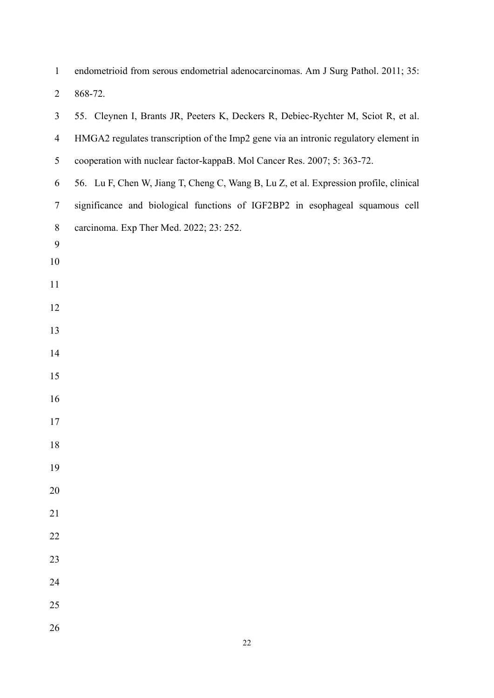| $\mathbf{1}$   | endometrioid from serous endometrial adenocarcinomas. Am J Surg Pathol. 2011; 35:     |  |  |  |  |
|----------------|---------------------------------------------------------------------------------------|--|--|--|--|
| $\overline{2}$ | 868-72.                                                                               |  |  |  |  |
| 3              | 55. Cleynen I, Brants JR, Peeters K, Deckers R, Debiec-Rychter M, Sciot R, et al.     |  |  |  |  |
| $\overline{4}$ | HMGA2 regulates transcription of the Imp2 gene via an intronic regulatory element in  |  |  |  |  |
| 5              | cooperation with nuclear factor-kappaB. Mol Cancer Res. 2007; 5: 363-72.              |  |  |  |  |
| 6              | 56. Lu F, Chen W, Jiang T, Cheng C, Wang B, Lu Z, et al. Expression profile, clinical |  |  |  |  |
| $\tau$         | significance and biological functions of IGF2BP2 in esophageal squamous cell          |  |  |  |  |
| $8\,$          | carcinoma. Exp Ther Med. 2022; 23: 252.                                               |  |  |  |  |
| 9<br>10        |                                                                                       |  |  |  |  |
| 11             |                                                                                       |  |  |  |  |
| 12             |                                                                                       |  |  |  |  |
| 13             |                                                                                       |  |  |  |  |
| 14             |                                                                                       |  |  |  |  |
| 15             |                                                                                       |  |  |  |  |
| 16             |                                                                                       |  |  |  |  |
| 17             |                                                                                       |  |  |  |  |
| 18             |                                                                                       |  |  |  |  |
| 19             |                                                                                       |  |  |  |  |
| 20             |                                                                                       |  |  |  |  |
| 21             |                                                                                       |  |  |  |  |
| 22             |                                                                                       |  |  |  |  |
| 23             |                                                                                       |  |  |  |  |
| 24             |                                                                                       |  |  |  |  |
| 25             |                                                                                       |  |  |  |  |
| 26             |                                                                                       |  |  |  |  |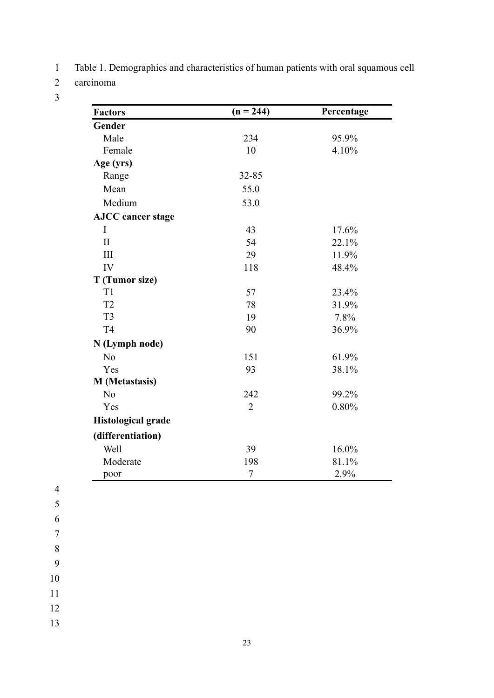1 Table 1. Demographics and characteristics of human patients with oral squamous cell

2 carcinoma

3

| <b>Factors</b>            | $(n = 244)$    | Percentage |
|---------------------------|----------------|------------|
| Gender                    |                |            |
| Male                      | 234            | 95.9%      |
| Female                    | 10             | 4.10%      |
| Age (yrs)                 |                |            |
| Range                     | 32-85          |            |
| Mean                      | 55.0           |            |
| Medium                    | 53.0           |            |
| <b>AJCC</b> cancer stage  |                |            |
| I                         | 43             | 17.6%      |
| $\mathbf{I}$              | 54             | 22.1%      |
| III                       | 29             | 11.9%      |
| IV                        | 118            | 48.4%      |
| T (Tumor size)            |                |            |
| T <sub>1</sub>            | 57             | 23.4%      |
| T <sub>2</sub>            | 78             | 31.9%      |
| T <sub>3</sub>            | 19             | 7.8%       |
| T <sub>4</sub>            | 90             | 36.9%      |
| N (Lymph node)            |                |            |
| No                        | 151            | 61.9%      |
| Yes                       | 93             | 38.1%      |
| <b>M</b> (Metastasis)     |                |            |
| N <sub>o</sub>            | 242            | 99.2%      |
| Yes                       | $\overline{2}$ | 0.80%      |
| <b>Histological grade</b> |                |            |
| (differentiation)         |                |            |
| Well                      | 39             | 16.0%      |
| Moderate                  | 198            | 81.1%      |
| poor                      | $\overline{7}$ | 2.9%       |

4

5

6 7

8

9

10

11

12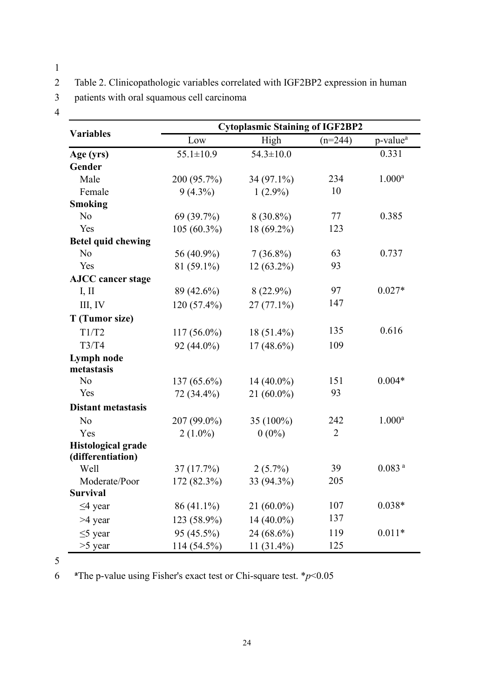1

2 Table 2. Clinicopathologic variables correlated with IGF2BP2 expression in human

3 patients with oral squamous cell carcinoma

4

|                                                | <b>Cytoplasmic Staining of IGF2BP2</b> |                 |                |                      |
|------------------------------------------------|----------------------------------------|-----------------|----------------|----------------------|
| <b>Variables</b>                               | Low                                    | High            | $(n=244)$      | p-value <sup>a</sup> |
| Age (yrs)                                      | $55.1 \pm 10.9$                        | $54.3 \pm 10.0$ |                | 0.331                |
| Gender                                         |                                        |                 |                |                      |
| Male                                           | 200 (95.7%)                            | 34 (97.1%)      | 234            | $1.000^{\rm a}$      |
| Female                                         | $9(4.3\%)$                             | $1(2.9\%)$      | 10             |                      |
| <b>Smoking</b>                                 |                                        |                 |                |                      |
| No                                             | 69 (39.7%)                             | $8(30.8\%)$     | 77             | 0.385                |
| Yes                                            | $105(60.3\%)$                          | 18 (69.2%)      | 123            |                      |
| <b>Betel quid chewing</b>                      |                                        |                 |                |                      |
| N <sub>o</sub>                                 | 56 (40.9%)                             | $7(36.8\%)$     | 63             | 0.737                |
| Yes                                            | 81 (59.1%)                             | 12 (63.2%)      | 93             |                      |
| <b>AJCC</b> cancer stage                       |                                        |                 |                |                      |
| I, II                                          | 89 (42.6%)                             | $8(22.9\%)$     | 97             | $0.027*$             |
| III, IV                                        | 120 (57.4%)                            | $27(77.1\%)$    | 147            |                      |
| T (Tumor size)                                 |                                        |                 |                |                      |
| T1/T2                                          | $117(56.0\%)$                          | 18 (51.4%)      | 135            | 0.616                |
| T3/T4                                          | 92 (44.0%)                             | $17(48.6\%)$    | 109            |                      |
| Lymph node                                     |                                        |                 |                |                      |
| metastasis                                     |                                        |                 |                |                      |
| N <sub>o</sub>                                 | 137 (65.6%)                            | 14 (40.0%)      | 151            | $0.004*$             |
| Yes                                            | 72 (34.4%)                             | $21(60.0\%)$    | 93             |                      |
| <b>Distant metastasis</b>                      |                                        |                 |                |                      |
| N <sub>o</sub>                                 | 207 (99.0%)                            | 35 (100%)       | 242            | $1.000^{\rm a}$      |
| Yes                                            | $2(1.0\%)$                             | $0(0\%)$        | $\overline{2}$ |                      |
| <b>Histological grade</b><br>(differentiation) |                                        |                 |                |                      |
| Well                                           | 37(17.7%)                              | $2(5.7\%)$      | 39             | 0.083 <sup>a</sup>   |
| Moderate/Poor                                  | 172 (82.3%)                            | 33 (94.3%)      | 205            |                      |
| <b>Survival</b>                                |                                        |                 |                |                      |
| $\leq$ 4 year                                  | 86 (41.1%)                             | $21(60.0\%)$    | 107            | $0.038*$             |
| $>4$ year                                      | 123 (58.9%)                            | $14(40.0\%)$    | 137            |                      |
| $\leq$ year                                    | 95 (45.5%)                             | 24 (68.6%)      | 119            | $0.011*$             |
| $>5$ year                                      | 114 (54.5%)                            | 11 (31.4%)      | 125            |                      |

5

6 The p-value using Fisher's exact test or Chi-square test.  $\frac{*p}{0.05}$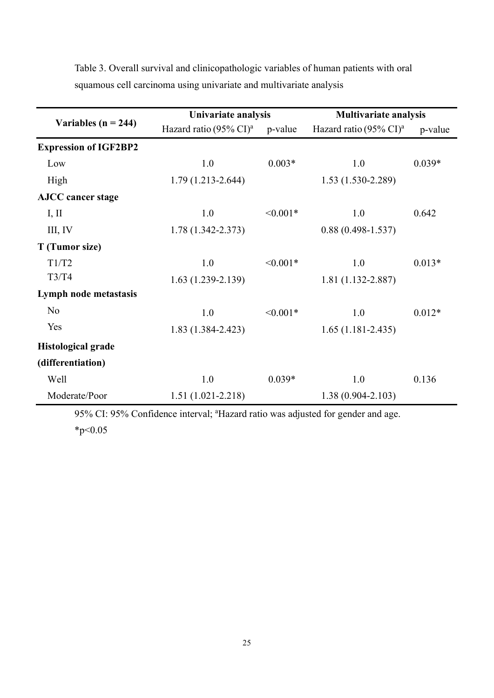|                              | Univariate analysis                |               | <b>Multivariate analysis</b>       |          |
|------------------------------|------------------------------------|---------------|------------------------------------|----------|
| Variables ( $n = 244$ )      | Hazard ratio (95% CI) <sup>a</sup> | p-value       | Hazard ratio (95% CI) <sup>a</sup> | p-value  |
| <b>Expression of IGF2BP2</b> |                                    |               |                                    |          |
| Low                          | 1.0                                | $0.003*$      | 1.0                                | $0.039*$ |
| High                         | $1.79(1.213 - 2.644)$              |               | $1.53(1.530-2.289)$                |          |
| <b>AJCC</b> cancer stage     |                                    |               |                                    |          |
| I, II                        | 1.0                                | $\leq 0.001*$ | 1.0                                | 0.642    |
| III, IV                      | $1.78(1.342 - 2.373)$              |               | $0.88(0.498 - 1.537)$              |          |
| T (Tumor size)               |                                    |               |                                    |          |
| T1/T2                        | 1.0                                | $< 0.001*$    | 1.0                                | $0.013*$ |
| T3/T4                        | $1.63(1.239-2.139)$                |               | $1.81(1.132 - 2.887)$              |          |
| Lymph node metastasis        |                                    |               |                                    |          |
| N <sub>o</sub>               | 1.0                                | $< 0.001*$    | 1.0                                | $0.012*$ |
| Yes                          | $1.83(1.384 - 2.423)$              |               | $1.65(1.181 - 2.435)$              |          |
| <b>Histological grade</b>    |                                    |               |                                    |          |
| (differentiation)            |                                    |               |                                    |          |
| Well                         | 1.0                                | $0.039*$      | 1.0                                | 0.136    |
| Moderate/Poor                | $1.51(1.021 - 2.218)$              |               | $1.38(0.904 - 2.103)$              |          |

Table 3. Overall survival and clinicopathologic variables of human patients with oral squamous cell carcinoma using univariate and multivariate analysis

95% CI: 95% Confidence interval; <sup>a</sup>Hazard ratio was adjusted for gender and age.  $*_{p<0.05}$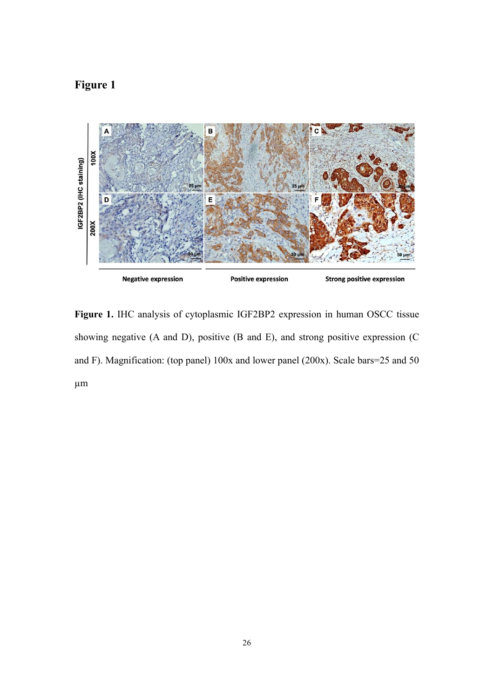# Figure 1



Figure 1. IHC analysis of cytoplasmic IGF2BP2 expression in human OSCC tissue showing negative (A and D), positive (B and E), and strong positive expression (C and F). Magnification: (top panel) 100x and lower panel (200x). Scale bars=25 and 50 µm